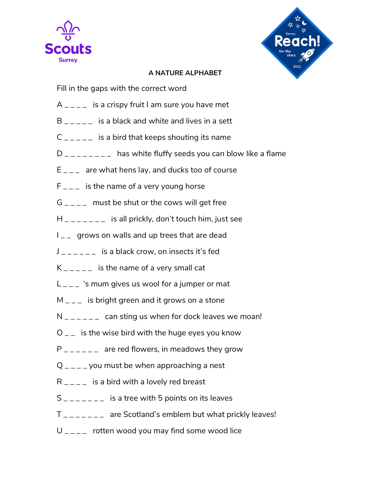



## A NATURE ALPHABET

Fill in the gaps with the correct word

- $A_{\text{max}}$  is a crispy fruit I am sure you have met
- B a black and white and lives in a sett
- $C_{\text{2}}$   $\bar{C}_{\text{2}}$  is a bird that keeps shouting its name
- $D_{\text{max}} = 2$  has white fluffy seeds you can blow like a flame
- $E_{\text{max}}$  are what hens lay, and ducks too of course
- $F_{-}$  is the name of a very young horse
- $G_{\text{max}}$  must be shut or the cows will get free
- $H_{\text{SUS}} = H_{\text{SUS}} = 1$  is all prickly, don't touch him, just see
- $I_{\text{max}}$  grows on walls and up trees that are dead
- $J_{-}$   $I_{-}$   $I_{-}$  is a black crow, on insects it's fed
- $K_{\text{max}} = 1$  is the name of a very small cat
- $L_{ - -}$  's mum gives us wool for a jumper or mat
- $M_{\text{max}}$  is bright green and it grows on a stone
- $N_{-}$   $_{-}$   $_{-}$  can sting us when for dock leaves we moan!
- $O_{\text{max}}$  is the wise bird with the huge eyes you know
- $P_{\text{2}} = 2$  are red flowers, in meadows they grow
- $Q_{\text{max}}$  you must be when approaching a nest
- $R_{---}$  is a bird with a lovely red breast
- $S_{\text{2}}$  =  $\frac{1}{2}$  =  $\frac{1}{2}$  is a tree with 5 points on its leaves
- $T_{\text{S}} = T_{\text{S}} = T_{\text{S}} = T_{\text{S}}$  are Scotland's emblem but what prickly leaves!
- $U_{\text{max}}$  rotten wood you may find some wood lice